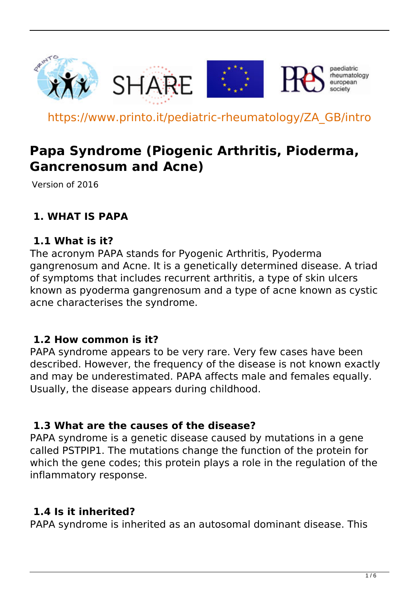

https://www.printo.it/pediatric-rheumatology/ZA\_GB/intro

# **Papa Syndrome (Piogenic Arthritis, Pioderma, Gancrenosum and Acne)**

Version of 2016

## **1. WHAT IS PAPA**

#### **1.1 What is it?**

The acronym PAPA stands for Pyogenic Arthritis, Pyoderma gangrenosum and Acne. It is a genetically determined disease. A triad of symptoms that includes recurrent arthritis, a type of skin ulcers known as pyoderma gangrenosum and a type of acne known as cystic acne characterises the syndrome.

#### **1.2 How common is it?**

PAPA syndrome appears to be very rare. Very few cases have been described. However, the frequency of the disease is not known exactly and may be underestimated. PAPA affects male and females equally. Usually, the disease appears during childhood.

#### **1.3 What are the causes of the disease?**

PAPA syndrome is a genetic disease caused by mutations in a gene called PSTPIP1. The mutations change the function of the protein for which the gene codes; this protein plays a role in the regulation of the inflammatory response.

#### **1.4 Is it inherited?**

PAPA syndrome is inherited as an autosomal dominant disease. This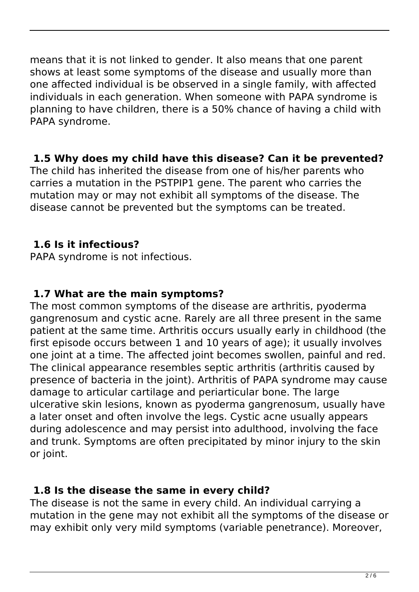means that it is not linked to gender. It also means that one parent shows at least some symptoms of the disease and usually more than one affected individual is be observed in a single family, with affected individuals in each generation. When someone with PAPA syndrome is planning to have children, there is a 50% chance of having a child with PAPA syndrome.

#### **1.5 Why does my child have this disease? Can it be prevented?**

The child has inherited the disease from one of his/her parents who carries a mutation in the PSTPIP1 gene. The parent who carries the mutation may or may not exhibit all symptoms of the disease. The disease cannot be prevented but the symptoms can be treated.

## **1.6 Is it infectious?**

PAPA syndrome is not infectious.

### **1.7 What are the main symptoms?**

The most common symptoms of the disease are arthritis, pyoderma gangrenosum and cystic acne. Rarely are all three present in the same patient at the same time. Arthritis occurs usually early in childhood (the first episode occurs between 1 and 10 years of age); it usually involves one joint at a time. The affected joint becomes swollen, painful and red. The clinical appearance resembles septic arthritis (arthritis caused by presence of bacteria in the joint). Arthritis of PAPA syndrome may cause damage to articular cartilage and periarticular bone. The large ulcerative skin lesions, known as pyoderma gangrenosum, usually have a later onset and often involve the legs. Cystic acne usually appears during adolescence and may persist into adulthood, involving the face and trunk. Symptoms are often precipitated by minor injury to the skin or joint.

## **1.8 Is the disease the same in every child?**

The disease is not the same in every child. An individual carrying a mutation in the gene may not exhibit all the symptoms of the disease or may exhibit only very mild symptoms (variable penetrance). Moreover,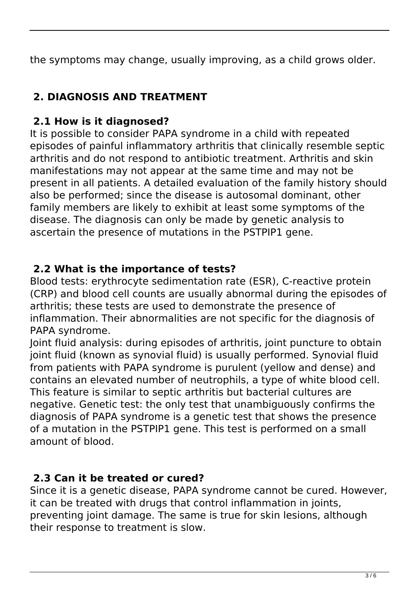the symptoms may change, usually improving, as a child grows older.

## **2. DIAGNOSIS AND TREATMENT**

## **2.1 How is it diagnosed?**

It is possible to consider PAPA syndrome in a child with repeated episodes of painful inflammatory arthritis that clinically resemble septic arthritis and do not respond to antibiotic treatment. Arthritis and skin manifestations may not appear at the same time and may not be present in all patients. A detailed evaluation of the family history should also be performed; since the disease is autosomal dominant, other family members are likely to exhibit at least some symptoms of the disease. The diagnosis can only be made by genetic analysis to ascertain the presence of mutations in the PSTPIP1 gene.

## **2.2 What is the importance of tests?**

Blood tests: erythrocyte sedimentation rate (ESR), C-reactive protein (CRP) and blood cell counts are usually abnormal during the episodes of arthritis; these tests are used to demonstrate the presence of inflammation. Their abnormalities are not specific for the diagnosis of PAPA syndrome.

Joint fluid analysis: during episodes of arthritis, joint puncture to obtain joint fluid (known as synovial fluid) is usually performed. Synovial fluid from patients with PAPA syndrome is purulent (yellow and dense) and contains an elevated number of neutrophils, a type of white blood cell. This feature is similar to septic arthritis but bacterial cultures are negative. Genetic test: the only test that unambiguously confirms the diagnosis of PAPA syndrome is a genetic test that shows the presence of a mutation in the PSTPIP1 gene. This test is performed on a small amount of blood.

## **2.3 Can it be treated or cured?**

Since it is a genetic disease, PAPA syndrome cannot be cured. However, it can be treated with drugs that control inflammation in joints, preventing joint damage. The same is true for skin lesions, although their response to treatment is slow.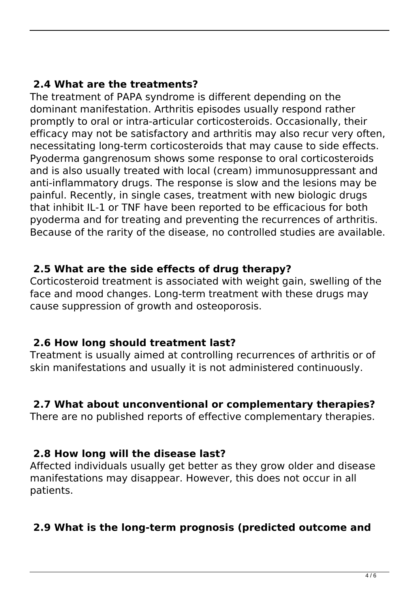### **2.4 What are the treatments?**

The treatment of PAPA syndrome is different depending on the dominant manifestation. Arthritis episodes usually respond rather promptly to oral or intra-articular corticosteroids. Occasionally, their efficacy may not be satisfactory and arthritis may also recur very often, necessitating long-term corticosteroids that may cause to side effects. Pyoderma gangrenosum shows some response to oral corticosteroids and is also usually treated with local (cream) immunosuppressant and anti-inflammatory drugs. The response is slow and the lesions may be painful. Recently, in single cases, treatment with new biologic drugs that inhibit IL-1 or TNF have been reported to be efficacious for both pyoderma and for treating and preventing the recurrences of arthritis. Because of the rarity of the disease, no controlled studies are available.

#### **2.5 What are the side effects of drug therapy?**

Corticosteroid treatment is associated with weight gain, swelling of the face and mood changes. Long-term treatment with these drugs may cause suppression of growth and osteoporosis.

#### **2.6 How long should treatment last?**

Treatment is usually aimed at controlling recurrences of arthritis or of skin manifestations and usually it is not administered continuously.

#### **2.7 What about unconventional or complementary therapies?**

There are no published reports of effective complementary therapies.

#### **2.8 How long will the disease last?**

Affected individuals usually get better as they grow older and disease manifestations may disappear. However, this does not occur in all patients.

#### **2.9 What is the long-term prognosis (predicted outcome and**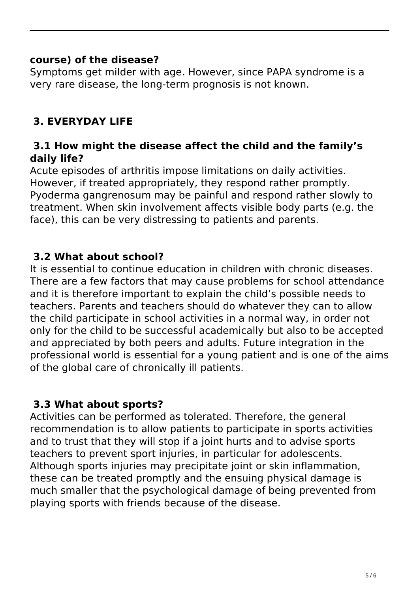#### **course) of the disease?**

Symptoms get milder with age. However, since PAPA syndrome is a very rare disease, the long-term prognosis is not known.

## **3. EVERYDAY LIFE**

#### **3.1 How might the disease affect the child and the family's daily life?**

Acute episodes of arthritis impose limitations on daily activities. However, if treated appropriately, they respond rather promptly. Pyoderma gangrenosum may be painful and respond rather slowly to treatment. When skin involvement affects visible body parts (e.g. the face), this can be very distressing to patients and parents.

#### **3.2 What about school?**

It is essential to continue education in children with chronic diseases. There are a few factors that may cause problems for school attendance and it is therefore important to explain the child's possible needs to teachers. Parents and teachers should do whatever they can to allow the child participate in school activities in a normal way, in order not only for the child to be successful academically but also to be accepted and appreciated by both peers and adults. Future integration in the professional world is essential for a young patient and is one of the aims of the global care of chronically ill patients.

#### **3.3 What about sports?**

Activities can be performed as tolerated. Therefore, the general recommendation is to allow patients to participate in sports activities and to trust that they will stop if a joint hurts and to advise sports teachers to prevent sport injuries, in particular for adolescents. Although sports injuries may precipitate joint or skin inflammation, these can be treated promptly and the ensuing physical damage is much smaller that the psychological damage of being prevented from playing sports with friends because of the disease.